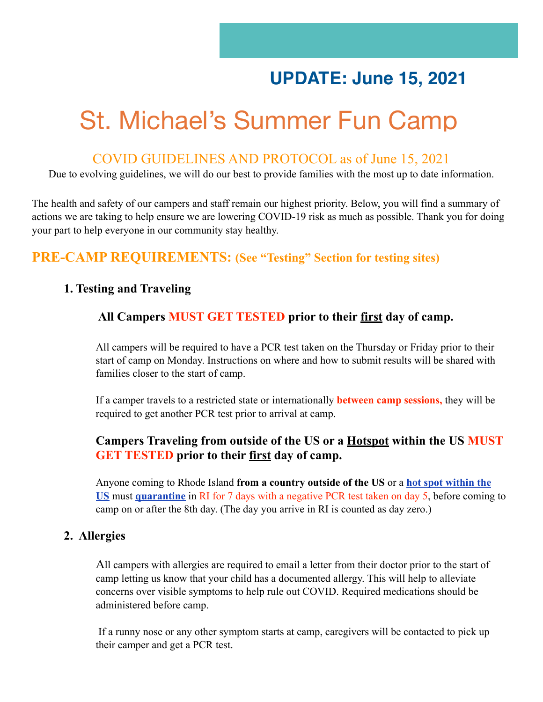## **UPDATE: June 15, 2021**

# St. Michael's Summer Fun Camp

#### COVID GUIDELINES AND PROTOCOL as of June 15, 2021

Due to evolving guidelines, we will do our best to provide families with the most up to date information.

The health and safety of our campers and staff remain our highest priority. Below, you will find a summary of actions we are taking to help ensure we are lowering COVID-19 risk as much as possible. Thank you for doing your part to help everyone in our community stay healthy.

#### **PRE-CAMP REQUIREMENTS: (See "Testing" Section for testing sites)**

#### **1. Testing and Traveling**

#### **All Campers MUST GET TESTED prior to their first day of camp.**

All campers will be required to have a PCR test taken on the Thursday or Friday prior to their start of camp on Monday. Instructions on where and how to submit results will be shared with families closer to the start of camp.

If a camper travels to a restricted state or internationally **between camp sessions,** they will be required to get another PCR test prior to arrival at camp.

#### **Campers Traveling from outside of the US or a [Hotspot](https://docs.google.com/spreadsheets/u/1/d/e/2PACX-1vSUCk9FlHBoJt5ZO0U6PKTTY7jHH8V4MovED0WiqpTTixdgMSCnUWI25xX5DCmQmtLknzu7Bo0jwY02/pubhtml?gid=0&single=true) within the US MUST GET TESTED prior to their first day of camp.**

Anyone coming to Rhode Island **from a country outside of the US** or a **[hot spot within the](https://docs.google.com/spreadsheets/u/1/d/e/2PACX-1vSUCk9FlHBoJt5ZO0U6PKTTY7jHH8V4MovED0WiqpTTixdgMSCnUWI25xX5DCmQmtLknzu7Bo0jwY02/pubhtml?gid=0&single=true)  [US](https://docs.google.com/spreadsheets/u/1/d/e/2PACX-1vSUCk9FlHBoJt5ZO0U6PKTTY7jHH8V4MovED0WiqpTTixdgMSCnUWI25xX5DCmQmtLknzu7Bo0jwY02/pubhtml?gid=0&single=true)** must **[quarantine](https://covid.ri.gov/covid-19-prevention/quarantine-and-isolation)** in RI for 7 days with a negative PCR test taken on day 5, before coming to camp on or after the 8th day. (The day you arrive in RI is counted as day zero.)

#### **2. Allergies**

All campers with allergies are required to email a letter from their doctor prior to the start of camp letting us know that your child has a documented allergy. This will help to alleviate concerns over visible symptoms to help rule out COVID. Required medications should be administered before camp.

 If a runny nose or any other symptom starts at camp, caregivers will be contacted to pick up their camper and get a PCR test.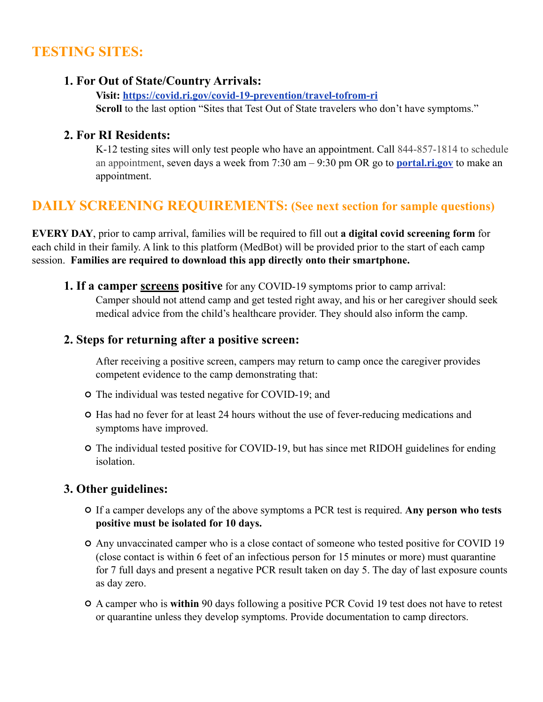## **TESTING SITES:**

#### **1. For Out of State/Country Arrivals:**

**Visit: <https://covid.ri.gov/covid-19-prevention/travel-tofrom-ri>** Scroll to the last option "Sites that Test Out of State travelers who don't have symptoms."

#### **2. For RI Residents:**

K-12 testing sites will only test people who have an appointment. Call 844-857-1814 to schedule an appointment, seven days a week from 7:30 am – 9:30 pm OR go to **[portal.ri.gov](https://portal.ri.gov/s/)** to make an appointment.

## **DAILY SCREENING REQUIREMENTS: (See next section for sample questions)**

**EVERY DAY**, prior to camp arrival, families will be required to fill out **a digital covid screening form** for each child in their family. A link to this platform (MedBot) will be provided prior to the start of each camp session. **Families are required to download this app directly onto their smartphone.**

**1. If a camper screens positive** for any COVID-19 symptoms prior to camp arrival: Camper should not attend camp and get tested right away, and his or her caregiver should seek medical advice from the child's healthcare provider. They should also inform the camp.

#### **2. Steps for returning after a positive screen:**

 After receiving a positive screen, campers may return to camp once the caregiver provides competent evidence to the camp demonstrating that:

- The individual was tested negative for COVID-19; and
- $\circ$  Has had no fever for at least 24 hours without the use of fever-reducing medications and symptoms have improved.
- The individual tested positive for COVID-19, but has since met RIDOH guidelines for ending isolation.

#### **3. Other guidelines:**

- If a camper develops any of the above symptoms a PCR test is required. **Any person who tests positive must be isolated for 10 days.**
- Any unvaccinated camper who is a close contact of someone who tested positive for COVID 19 (close contact is within 6 feet of an infectious person for 15 minutes or more) must quarantine for 7 full days and present a negative PCR result taken on day 5. The day of last exposure counts as day zero.
- A camper who is **within** 90 days following a positive PCR Covid 19 test does not have to retest or quarantine unless they develop symptoms. Provide documentation to camp directors.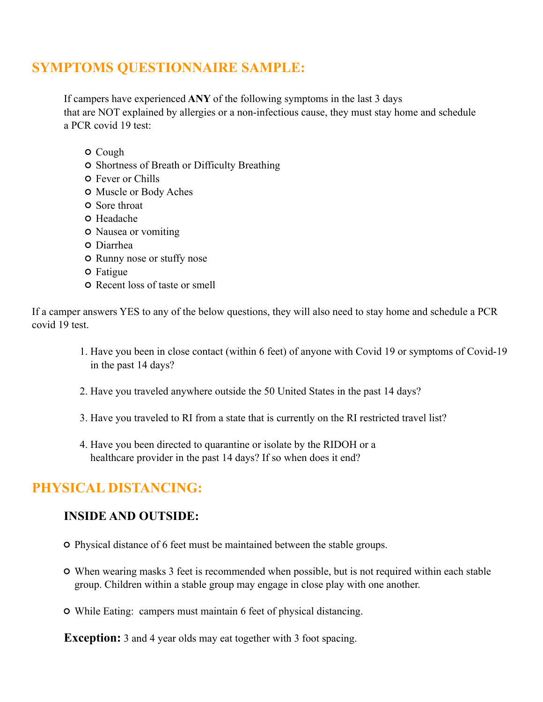## **SYMPTOMS QUESTIONNAIRE SAMPLE:**

If campers have experienced **ANY** of the following symptoms in the last 3 days that are NOT explained by allergies or a non-infectious cause, they must stay home and schedule a PCR covid 19 test:

- Cough
- $\circ$  Shortness of Breath or Difficulty Breathing
- Fever or Chills
- Muscle or Body Aches
- **O** Sore throat
- O Headache
- Nausea or vomiting
- Diarrhea
- **O** Runny nose or stuffy nose
- Fatigue
- Recent loss of taste or smell

If a camper answers YES to any of the below questions, they will also need to stay home and schedule a PCR covid 19 test.

- 1. Have you been in close contact (within 6 feet) of anyone with Covid 19 or symptoms of Covid-19 in the past 14 days?
- 2. Have you traveled anywhere outside the 50 United States in the past 14 days?
- 3. Have you traveled to RI from a state that is currently on the RI restricted travel list?
- 4. Have you been directed to quarantine or isolate by the RIDOH or a healthcare provider in the past 14 days? If so when does it end?

## **PHYSICAL DISTANCING:**

#### **INSIDE AND OUTSIDE:**

- Physical distance of 6 feet must be maintained between the stable groups.
- When wearing masks 3 feet is recommended when possible, but is not required within each stable group. Children within a stable group may engage in close play with one another.
- While Eating: campers must maintain 6 feet of physical distancing.

**Exception:** 3 and 4 year olds may eat together with 3 foot spacing.